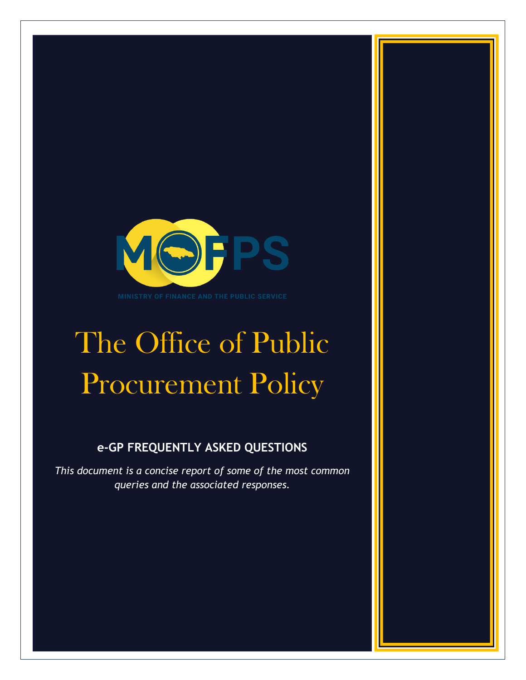

# The Office of Public Procurement Policy

# **e-GP FREQUENTLY ASKED QUESTIONS**

*This document is a concise report of some of the most common queries and the associated responses.*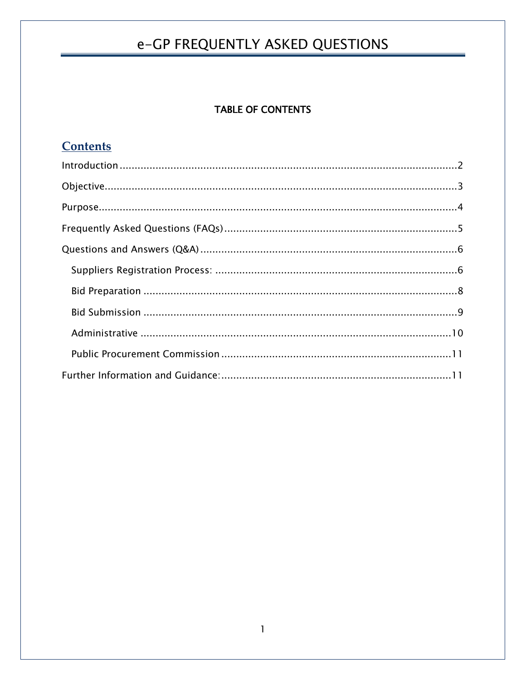## **TABLE OF CONTENTS**

# **Contents**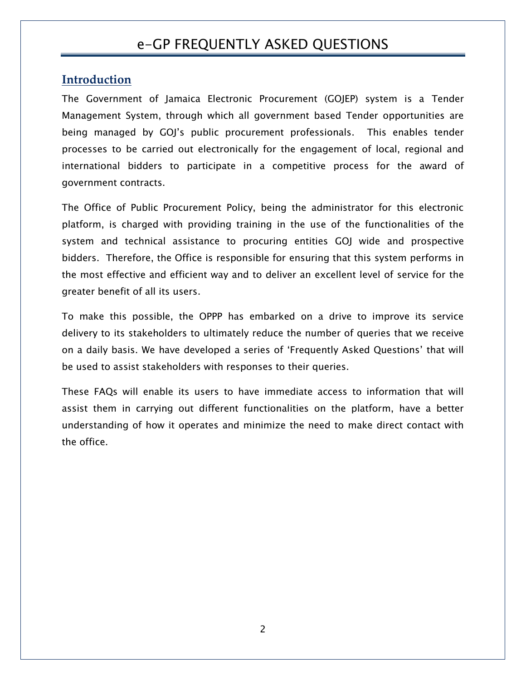## <span id="page-2-0"></span>**Introduction**

The Government of Jamaica Electronic Procurement (GOJEP) system is a Tender Management System, through which all government based Tender opportunities are being managed by GOJ's public procurement professionals. This enables tender processes to be carried out electronically for the engagement of local, regional and international bidders to participate in a competitive process for the award of government contracts.

The Office of Public Procurement Policy, being the administrator for this electronic platform, is charged with providing training in the use of the functionalities of the system and technical assistance to procuring entities GOJ wide and prospective bidders. Therefore, the Office is responsible for ensuring that this system performs in the most effective and efficient way and to deliver an excellent level of service for the greater benefit of all its users.

To make this possible, the OPPP has embarked on a drive to improve its service delivery to its stakeholders to ultimately reduce the number of queries that we receive on a daily basis. We have developed a series of 'Frequently Asked Questions' that will be used to assist stakeholders with responses to their queries.

These FAQs will enable its users to have immediate access to information that will assist them in carrying out different functionalities on the platform, have a better understanding of how it operates and minimize the need to make direct contact with the office.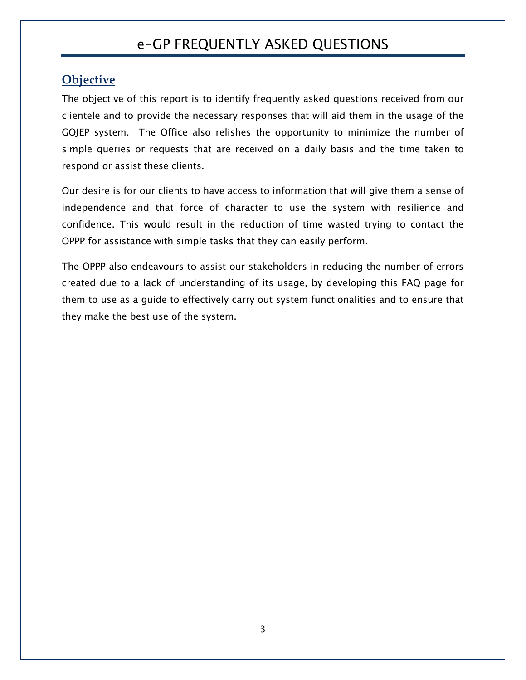# <span id="page-3-0"></span>**Objective**

The objective of this report is to identify frequently asked questions received from our clientele and to provide the necessary responses that will aid them in the usage of the GOJEP system. The Office also relishes the opportunity to minimize the number of simple queries or requests that are received on a daily basis and the time taken to respond or assist these clients.

Our desire is for our clients to have access to information that will give them a sense of independence and that force of character to use the system with resilience and confidence. This would result in the reduction of time wasted trying to contact the OPPP for assistance with simple tasks that they can easily perform.

The OPPP also endeavours to assist our stakeholders in reducing the number of errors created due to a lack of understanding of its usage, by developing this FAQ page for them to use as a guide to effectively carry out system functionalities and to ensure that they make the best use of the system.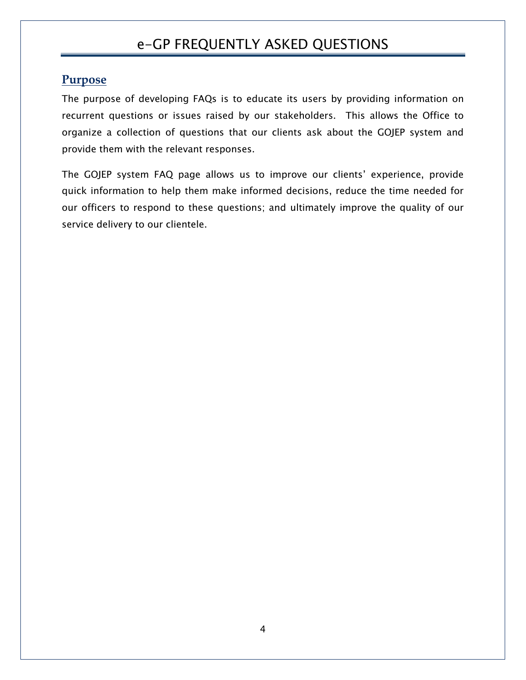## <span id="page-4-0"></span>**Purpose**

The purpose of developing FAQs is to educate its users by providing information on recurrent questions or issues raised by our stakeholders. This allows the Office to organize a collection of questions that our clients ask about the GOJEP system and provide them with the relevant responses.

The GOJEP system FAQ page allows us to improve our clients' experience, provide quick information to help them make informed decisions, reduce the time needed for our officers to respond to these questions; and ultimately improve the quality of our service delivery to our clientele.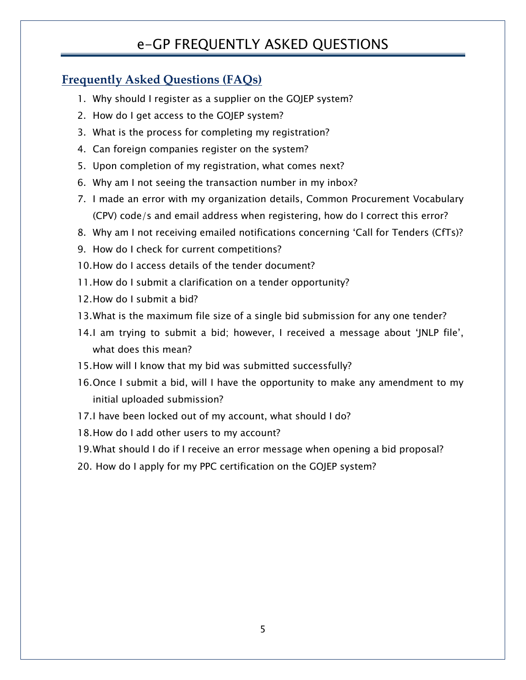# <span id="page-5-0"></span>**Frequently Asked Questions (FAQs)**

- 1. Why should I register as a supplier on the GOJEP system?
- 2. How do I get access to the GOJEP system?
- 3. What is the process for completing my registration?
- 4. Can foreign companies register on the system?
- 5. Upon completion of my registration, what comes next?
- 6. Why am I not seeing the transaction number in my inbox?
- 7. I made an error with my organization details, Common Procurement Vocabulary (CPV) code/s and email address when registering, how do I correct this error?
- 8. Why am I not receiving emailed notifications concerning 'Call for Tenders (CfTs)?
- 9. How do I check for current competitions?
- 10.How do I access details of the tender document?
- 11.How do I submit a clarification on a tender opportunity?
- 12.How do I submit a bid?
- 13.What is the maximum file size of a single bid submission for any one tender?
- 14.I am trying to submit a bid; however, I received a message about 'JNLP file', what does this mean?
- 15.How will I know that my bid was submitted successfully?
- 16.Once I submit a bid, will I have the opportunity to make any amendment to my initial uploaded submission?
- 17.I have been locked out of my account, what should I do?
- 18.How do I add other users to my account?
- 19.What should I do if I receive an error message when opening a bid proposal?
- 20. How do I apply for my PPC certification on the GOJEP system?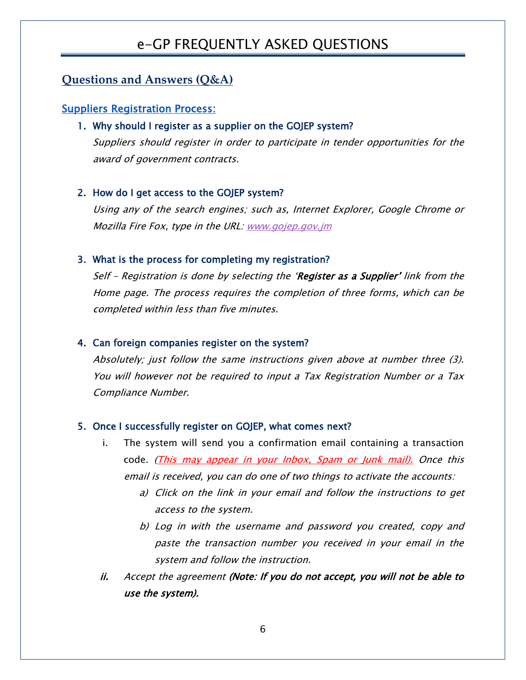## <span id="page-6-0"></span>**Questions and Answers (Q&A)**

#### <span id="page-6-1"></span>Suppliers Registration Process:

#### 1. Why should I register as a supplier on the GOJEP system?

Suppliers should register in order to participate in tender opportunities for the award of government contracts.

#### 2. How do I get access to the GOJEP system?

Using any of the search engines; such as, Internet Explorer, Google Chrome or Mozilla Fire Fox, type in the URL: [www.gojep.gov.jm](http://www.gojep.gov.jm/)

#### 3. What is the process for completing my registration?

Self - Registration is done by selecting the 'Register as a Supplier' link from the Home page. The process requires the completion of three forms, which can be completed within less than five minutes.

#### 4. Can foreign companies register on the system?

Absolutely; just follow the same instructions given above at number three (3). You will however not be required to input a Tax Registration Number or a Tax Compliance Number.

#### 5. Once I successfully register on GOJEP, what comes next?

- i. The system will send you a confirmation email containing a transaction code. (This may appear in your Inbox, Spam or Junk mail). Once this email is received, you can do one of two things to activate the accounts:
	- a) Click on the link in your email and follow the instructions to get access to the system.
	- b) Log in with the username and password you created, copy and paste the transaction number you received in your email in the system and follow the instruction.
- ii. Accept the agreement (Note: If you do not accept, you will not be able to use the system).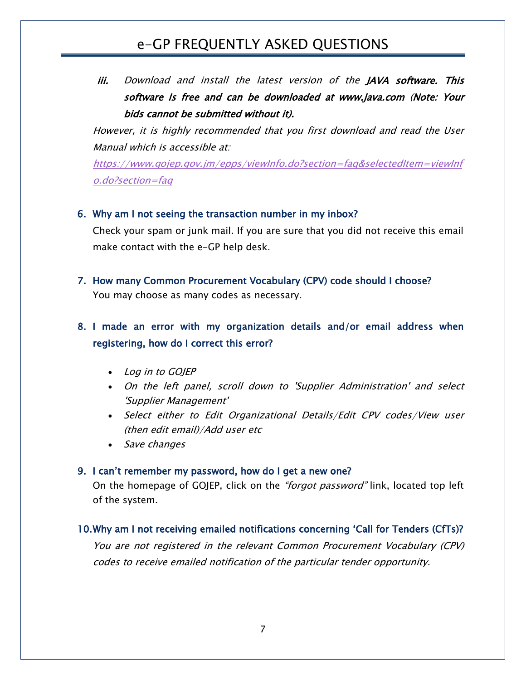iii. Download and install the latest version of the JAVA software. This software is free and can be downloaded at www.java.com (Note: Your bids cannot be submitted without it).

However, it is highly recommended that you first download and read the User Manual which is accessible at:

[https://www.gojep.gov.jm/epps/viewInfo.do?section=faq&selectedItem=viewInf](https://www.gojep.gov.jm/epps/viewInfo.do?section=faq&selectedItem=viewInfo.do?section=faq) [o.do?section=faq](https://www.gojep.gov.jm/epps/viewInfo.do?section=faq&selectedItem=viewInfo.do?section=faq)

#### 6. Why am I not seeing the transaction number in my inbox?

Check your spam or junk mail. If you are sure that you did not receive this email make contact with the e-GP help desk.

7. How many Common Procurement Vocabulary (CPV) code should I choose? You may choose as many codes as necessary.

# 8. I made an error with my organization details and/or email address when registering, how do I correct this error?

- Log in to GOJEP
- On the left panel, scroll down to 'Supplier Administration' and select 'Supplier Management'
- Select either to Edit Organizational Details/Edit CPV codes/View user (then edit email)/Add user etc
- Save changes

#### 9. I can't remember my password, how do I get a new one?

On the homepage of GOJEP, click on the *"forgot password"* link, located top left of the system.

## 10.Why am I not receiving emailed notifications concerning 'Call for Tenders (CfTs)?

You are not registered in the relevant Common Procurement Vocabulary (CPV) codes to receive emailed notification of the particular tender opportunity.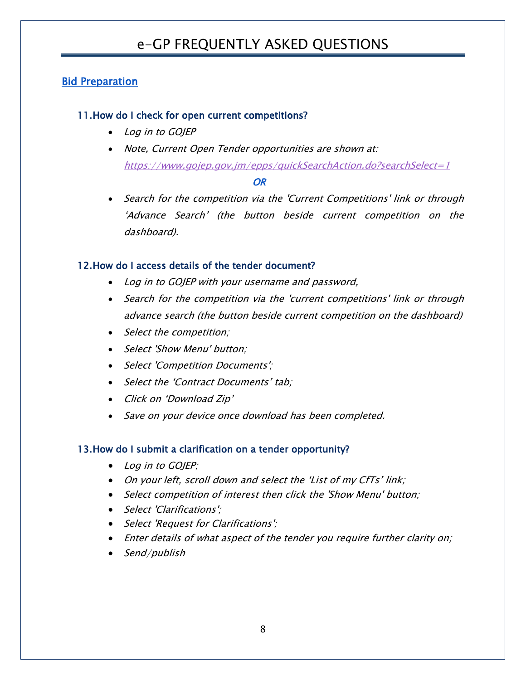## <span id="page-8-0"></span>**Bid Preparation**

## 11.How do I check for open current competitions?

- Log in to GOJEP
- Note, Current Open Tender opportunities are shown at: <https://www.gojep.gov.jm/epps/quickSearchAction.do?searchSelect=1>

#### *OR OR*

• Search for the competition via the 'Current Competitions' link or through 'Advance Search' (the button beside current competition on the dashboard).

## 12.How do I access details of the tender document?

- Log in to GOJEP with your username and password,
- Search for the competition via the 'current competitions' link or through advance search (the button beside current competition on the dashboard)
- Select the competition;
- Select 'Show Menu' button:
- Select 'Competition Documents';
- Select the 'Contract Documents' tab;
- Click on 'Download Zip'
- Save on your device once download has been completed.

#### 13.How do I submit a clarification on a tender opportunity?

- Log in to GOJEP;
- On your left, scroll down and select the 'List of my CfTs' link;
- Select competition of interest then click the 'Show Menu' button;
- Select 'Clarifications':
- Select 'Request for Clarifications';
- Enter details of what aspect of the tender you require further clarity on;
- Send/publish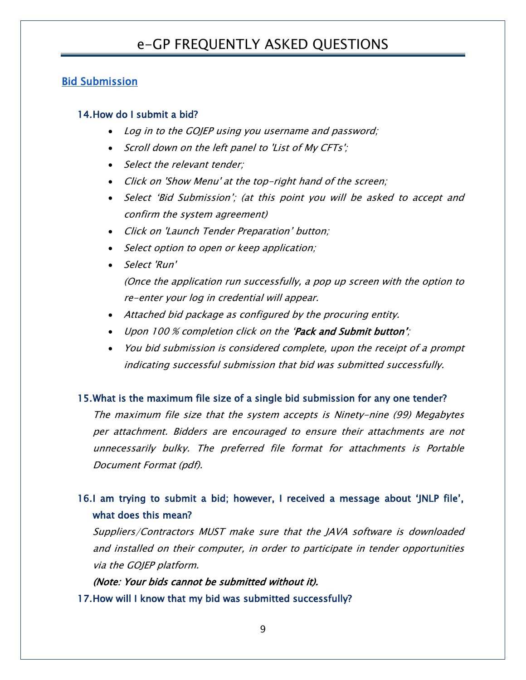## <span id="page-9-0"></span>Bid Submission

#### 14.How do I submit a bid?

- Log in to the GOJEP using you username and password;
- Scroll down on the left panel to 'List of My CFTs';
- Select the relevant tender;
- Click on 'Show Menu' at the top-right hand of the screen;
- Select 'Bid Submission'; (at this point you will be asked to accept and confirm the system agreement)
- Click on 'Launch Tender Preparation' button;
- Select option to open or keep application;
- Select 'Run' (Once the application run successfully, a pop up screen with the option to re-enter your log in credential will appear.
- Attached bid package as configured by the procuring entity.
- Upon 100 % completion click on the 'Pack and Submit button';
- You bid submission is considered complete, upon the receipt of a prompt indicating successful submission that bid was submitted successfully.

#### 15.What is the maximum file size of a single bid submission for any one tender?

The maximum file size that the system accepts is Ninety-nine (99) Megabytes per attachment. Bidders are encouraged to ensure their attachments are not unnecessarily bulky. The preferred file format for attachments is Portable Document Format (pdf).

# 16.I am trying to submit a bid; however, I received a message about 'JNLP file', what does this mean?

Suppliers/Contractors MUST make sure that the JAVA software is downloaded and installed on their computer, in order to participate in tender opportunities via the GOJEP platform.

(Note: Your bids cannot be submitted without it). 17.How will I know that my bid was submitted successfully?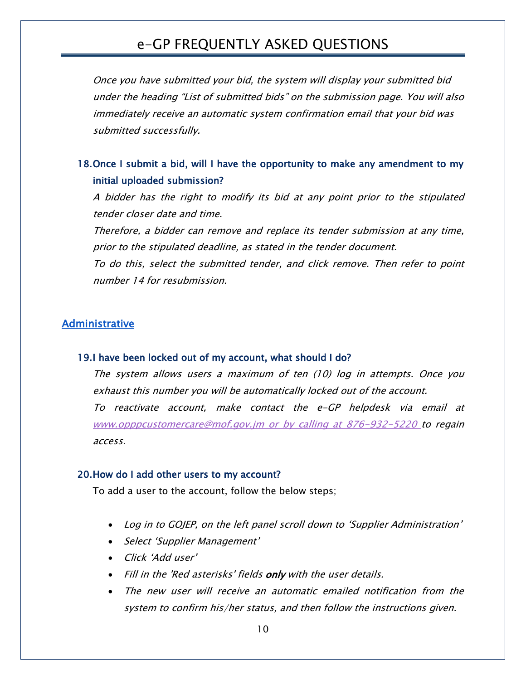Once you have submitted your bid, the system will display your submitted bid under the heading "List of submitted bids" on the submission page. You will also immediately receive an automatic system confirmation email that your bid was submitted successfully.

## 18.Once I submit a bid, will I have the opportunity to make any amendment to my initial uploaded submission?

A bidder has the right to modify its bid at any point prior to the stipulated tender closer date and time.

Therefore, a bidder can remove and replace its tender submission at any time, prior to the stipulated deadline, as stated in the tender document.

To do this, select the submitted tender, and click remove. Then refer to point number 14 for resubmission.

## <span id="page-10-0"></span>Administrative

#### 19.I have been locked out of my account, what should I do?

The system allows users a maximum of ten (10) log in attempts. Once you exhaust this number you will be automatically locked out of the account. To reactivate account, make contact the e-GP helpdesk via email at [www.opppcustomercare@mof.gov.jm](http://www.opppcustomercare@mof.gov.jm/) or by calling at 876-932-5220 to regain access.

#### 20.How do I add other users to my account?

To add a user to the account, follow the below steps;

- Log in to GOJEP, on the left panel scroll down to 'Supplier Administration'
- Select 'Supplier Management'
- Click 'Add user'
- Fill in the 'Red asterisks' fields only with the user details.
- The new user will receive an automatic emailed notification from the system to confirm his/her status, and then follow the instructions given.